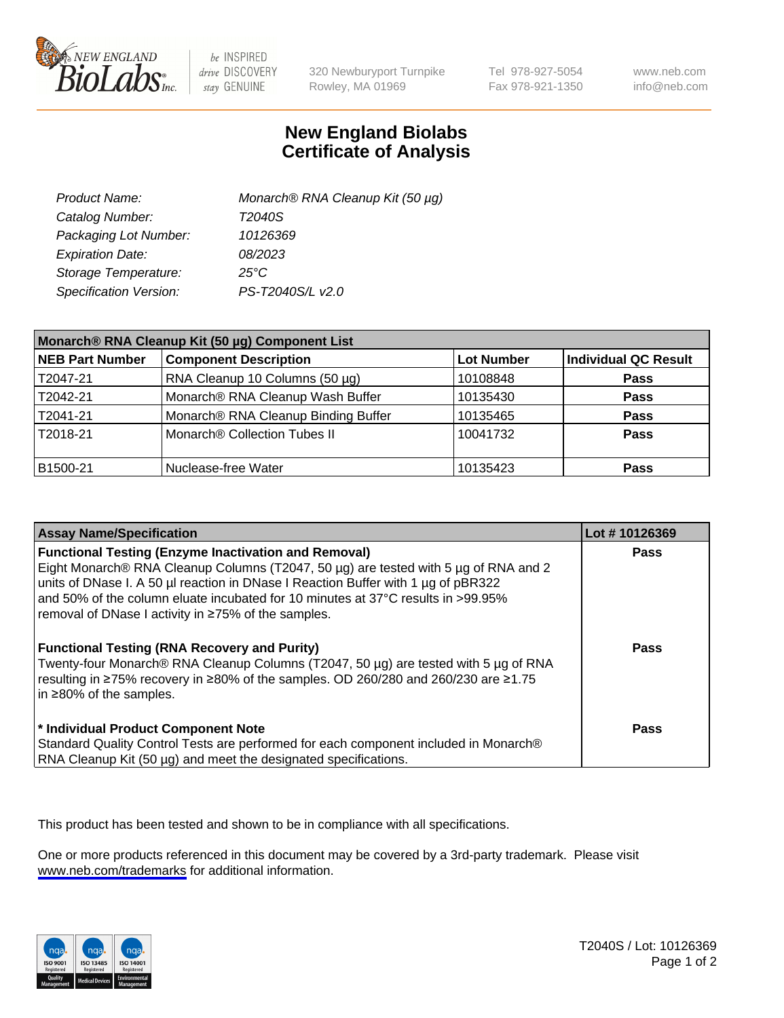

be INSPIRED drive DISCOVERY stay GENUINE

320 Newburyport Turnpike Rowley, MA 01969

Tel 978-927-5054 Fax 978-921-1350

www.neb.com info@neb.com

## **New England Biolabs Certificate of Analysis**

| Product Name:           | Monarch® RNA Cleanup Kit (50 µg) |
|-------------------------|----------------------------------|
| Catalog Number:         | T2040S                           |
| Packaging Lot Number:   | 10126369                         |
| <b>Expiration Date:</b> | 08/2023                          |
| Storage Temperature:    | $25^{\circ}$ C                   |
| Specification Version:  | PS-T2040S/L v2.0                 |

| Monarch® RNA Cleanup Kit (50 µg) Component List |                                     |                   |                      |
|-------------------------------------------------|-------------------------------------|-------------------|----------------------|
| <b>NEB Part Number</b>                          | <b>Component Description</b>        | <b>Lot Number</b> | Individual QC Result |
| T2047-21                                        | RNA Cleanup 10 Columns (50 µg)      | 10108848          | <b>Pass</b>          |
| T2042-21                                        | Monarch® RNA Cleanup Wash Buffer    | 10135430          | <b>Pass</b>          |
| T2041-21                                        | Monarch® RNA Cleanup Binding Buffer | 10135465          | <b>Pass</b>          |
| T2018-21                                        | Monarch® Collection Tubes II        | 10041732          | <b>Pass</b>          |
| B <sub>1500</sub> -21                           | Nuclease-free Water                 | 10135423          | <b>Pass</b>          |

| <b>Assay Name/Specification</b>                                                                                                                                                                                                                                    | Lot #10126369 |
|--------------------------------------------------------------------------------------------------------------------------------------------------------------------------------------------------------------------------------------------------------------------|---------------|
| <b>Functional Testing (Enzyme Inactivation and Removal)</b><br>Eight Monarch® RNA Cleanup Columns (T2047, 50 µg) are tested with 5 µg of RNA and 2<br>units of DNase I. A 50 µl reaction in DNase I Reaction Buffer with 1 µg of pBR322                            | <b>Pass</b>   |
| and 50% of the column eluate incubated for 10 minutes at 37°C results in >99.95%<br>removal of DNase I activity in ≥75% of the samples.                                                                                                                            |               |
| <b>Functional Testing (RNA Recovery and Purity)</b><br>Twenty-four Monarch® RNA Cleanup Columns (T2047, 50 µg) are tested with 5 µg of RNA<br>resulting in ≥75% recovery in ≥80% of the samples. OD 260/280 and 260/230 are ≥1.75<br>in $\geq$ 80% of the samples. | Pass          |
| * Individual Product Component Note<br>Standard Quality Control Tests are performed for each component included in Monarch®<br>RNA Cleanup Kit (50 µg) and meet the designated specifications.                                                                     | Pass          |

This product has been tested and shown to be in compliance with all specifications.

One or more products referenced in this document may be covered by a 3rd-party trademark. Please visit <www.neb.com/trademarks>for additional information.